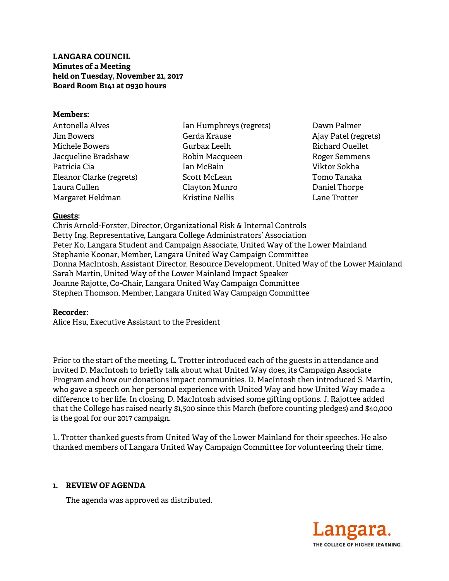# **LANGARA COUNCIL Minutes of a Meeting held on Tuesday, November 21, 2017 Board Room B141 at 0930 hours**

### **Members:**

| Antonella Alves          |
|--------------------------|
| Jim Bowers               |
| Michele Bowers           |
| Jacqueline Bradshaw      |
| Patricia Cia             |
| Eleanor Clarke (regrets) |
| Laura Cullen             |
| Margaret Heldman         |

Ian Humphreys (regrets) Gerda Krause Gurbax Leelh Robin Macqueen Ian McBain Scott McLean Clayton Munro Kristine Nellis

Dawn Palmer Ajay Patel (regrets) Richard Ouellet Roger Semmens Viktor Sokha Tomo Tanaka Daniel Thorpe Lane Trotter

### **Guests:**

Chris Arnold-Forster, Director, Organizational Risk & Internal Controls Betty Ing, Representative, Langara College Administrators' Association Peter Ko, Langara Student and Campaign Associate, United Way of the Lower Mainland Stephanie Koonar, Member, Langara United Way Campaign Committee Donna MacIntosh, Assistant Director, Resource Development, United Way of the Lower Mainland Sarah Martin, United Way of the Lower Mainland Impact Speaker Joanne Rajotte, Co-Chair, Langara United Way Campaign Committee Stephen Thomson, Member, Langara United Way Campaign Committee

#### **Recorder:**

Alice Hsu, Executive Assistant to the President

Prior to the start of the meeting, L. Trotter introduced each of the guests in attendance and invited D. MacIntosh to briefly talk about what United Way does, its Campaign Associate Program and how our donations impact communities. D. MacIntosh then introduced S. Martin, who gave a speech on her personal experience with United Way and how United Way made a difference to her life. In closing, D. MacIntosh advised some gifting options. J. Rajottee added that the College has raised nearly \$1,500 since this March (before counting pledges) and \$40,000 is the goal for our 2017 campaign.

L. Trotter thanked guests from United Way of the Lower Mainland for their speeches. He also thanked members of Langara United Way Campaign Committee for volunteering their time.

# **1. REVIEW OF AGENDA**

The agenda was approved as distributed.

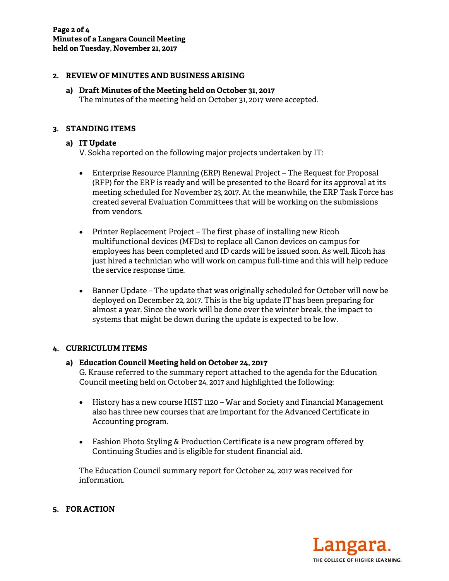## **2. REVIEW OF MINUTES AND BUSINESS ARISING**

**a) Draft Minutes of the Meeting held on October 31, 2017**  The minutes of the meeting held on October 31, 2017 were accepted.

### **3. STANDING ITEMS**

### **a) IT Update**

V. Sokha reported on the following major projects undertaken by IT:

- Enterprise Resource Planning (ERP) Renewal Project The Request for Proposal (RFP) for the ERP is ready and will be presented to the Board for its approval at its meeting scheduled for November 23, 2017. At the meanwhile, the ERP Task Force has created several Evaluation Committees that will be working on the submissions from vendors.
- Printer Replacement Project The first phase of installing new Ricoh multifunctional devices (MFDs) to replace all Canon devices on campus for employees has been completed and ID cards will be issued soon. As well, Ricoh has just hired a technician who will work on campus full-time and this will help reduce the service response time.
- Banner Update The update that was originally scheduled for October will now be deployed on December 22, 2017. This is the big update IT has been preparing for almost a year. Since the work will be done over the winter break, the impact to systems that might be down during the update is expected to be low.

#### **4. CURRICULUM ITEMS**

# **a) Education Council Meeting held on October 24, 2017**  G. Krause referred to the summary report attached to the agenda for the Education Council meeting held on October 24, 2017 and highlighted the following:

- History has a new course HIST 1120 War and Society and Financial Management also has three new courses that are important for the Advanced Certificate in Accounting program.
- Fashion Photo Styling & Production Certificate is a new program offered by Continuing Studies and is eligible for student financial aid.

The Education Council summary report for October 24, 2017 was received for information.

THE COLLEGE OF HIGHER LEARNING.

# **5. FOR ACTION**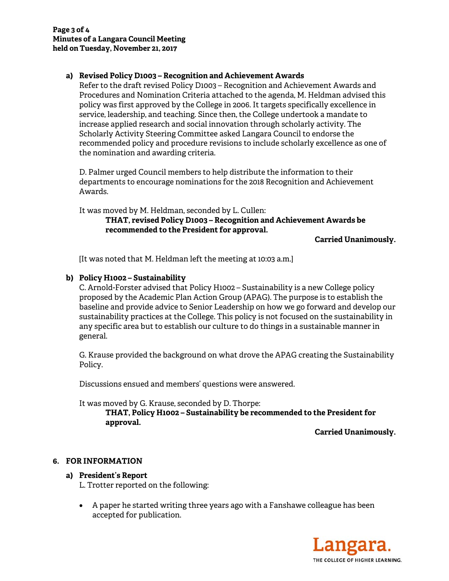# **a) Revised Policy D1003 – Recognition and Achievement Awards**

Refer to the draft revised Policy D1003 – Recognition and Achievement Awards and Procedures and Nomination Criteria attached to the agenda, M. Heldman advised this policy was first approved by the College in 2006. It targets specifically excellence in service, leadership, and teaching. Since then, the College undertook a mandate to increase applied research and social innovation through scholarly activity. The Scholarly Activity Steering Committee asked Langara Council to endorse the recommended policy and procedure revisions to include scholarly excellence as one of the nomination and awarding criteria.

D. Palmer urged Council members to help distribute the information to their departments to encourage nominations for the 2018 Recognition and Achievement Awards.

It was moved by M. Heldman, seconded by L. Cullen:

## **THAT, revised Policy D1003 – Recognition and Achievement Awards be recommended to the President for approval.**

**Carried Unanimously.** 

[It was noted that M. Heldman left the meeting at 10:03 a.m.]

### **b) Policy H1002 – Sustainability**

C. Arnold-Forster advised that Policy H1002 – Sustainability is a new College policy proposed by the Academic Plan Action Group (APAG). The purpose is to establish the baseline and provide advice to Senior Leadership on how we go forward and develop our sustainability practices at the College. This policy is not focused on the sustainability in any specific area but to establish our culture to do things in a sustainable manner in general.

G. Krause provided the background on what drove the APAG creating the Sustainability Policy.

Discussions ensued and members' questions were answered.

It was moved by G. Krause, seconded by D. Thorpe:

**THAT, Policy H1002 – Sustainability be recommended to the President for approval.** 

**Carried Unanimously.** 

#### **6. FOR INFORMATION**

#### **a) President's Report**

L. Trotter reported on the following:

 A paper he started writing three years ago with a Fanshawe colleague has been accepted for publication.